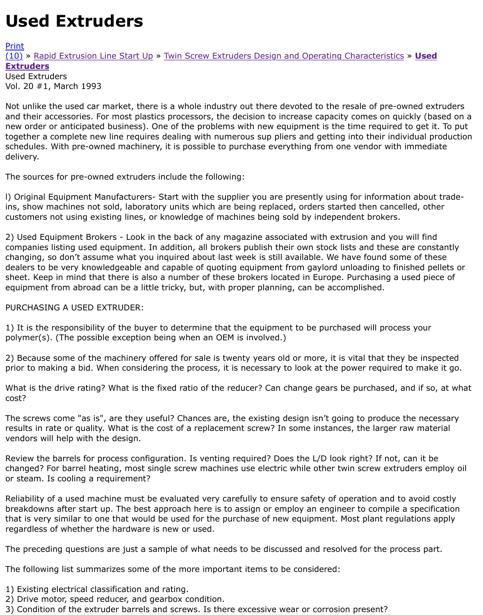Vol. 20 #1, March 1993

Not unlike the used car market, there is a whole industry out there devoted to the resale of pre-own and their accessories. For most plastics processors, the decision to increase capacity comes on quic [new](http://extrusionwiki.com/wiki/Print.aspx?Page=CC-V20-1-A) order or anticipated business). One of the problems with new equipment is the time required to [toge](http://extrusionwiki.com/wiki/CC-V20-1-A.ashx#)th[er a complete new line require](http://extrusionwiki.com/wiki/RapidExtrusionLineStartup.ashx)s [dealing with numerous sup pliers and getting into their indiv](http://extrusionwiki.com/wiki/CC%20V3-3.ashx)idual schedules. With pre-owned machinery, it is possible to purchase everything from one vendor with in delivery.

The sources for pre-owned extruders include the following:

l) Original Equipment Manufacturers- Start with the supplier you are presently using for information ins, show machines not sold, laboratory units which are being replaced, orders started then cancelle customers not using existing lines, or knowledge of machines being sold by independent brokers.

2) Used Equipment Brokers - Look in the back of any magazine associated with extrusion and you w companies listing used equipment. In addition, all brokers publish their own stock lists and these are changing, so don't assume what you inquired about last week is still available. We have found some dealers to be very knowledgeable and capable of quoting equipment from gaylord unloading to finis sheet. Keep in mind that there is also a number of these brokers located in Europe. Purchasing a us equipment from abroad can be a little tricky, but, with proper planning, can be accomplished.

## PURCHASING A USED EXTRUDER:

1) It is the responsibility of the buyer to determine that the equipment to be purchased will process polymer(s). (The possible exception being when an OEM is involved.)

2) Because some of the machinery offered for sale is twenty years old or more, it is vital that they b prior to making a bid. When considering the process, it is necessary to look at the power required to

What is the drive rating? What is the fixed ratio of the reducer? Can change gears be purchased, an cost?

The screws come "as is", are they useful? Chances are, the existing design isn't going to produce th results in rate or quality. What is the cost of a replacement screw? In some instances, the larger rav vendors will help with the design.

Review the barrels for process configuration. Is venting required? Does the L/D look right? If not, ca changed? For barrel heating, most single screw machines use electric while other twin screw extrud or steam. Is cooling a requirement?

Reliability of a used machine must be evaluated very carefully to ensure safety of operation and to a breakdowns after start up. The best approach here is to assign or employ an engineer to compile a that is very similar to one that would be used for the purchase of new equipment. Most plant regula regardless of whether the hardware is new or used.

The preceding questions are just a sample of what needs to be discussed and resolved for the proce

The following list summarizes some of the more important items to be considered:

- 1) Existing electrical classification and rating.
- 2) Drive motor, speed reducer, and gearbox condition.
- 3) Condition of the extruder barrels and screws. Is there excessive wear or corrosion present?